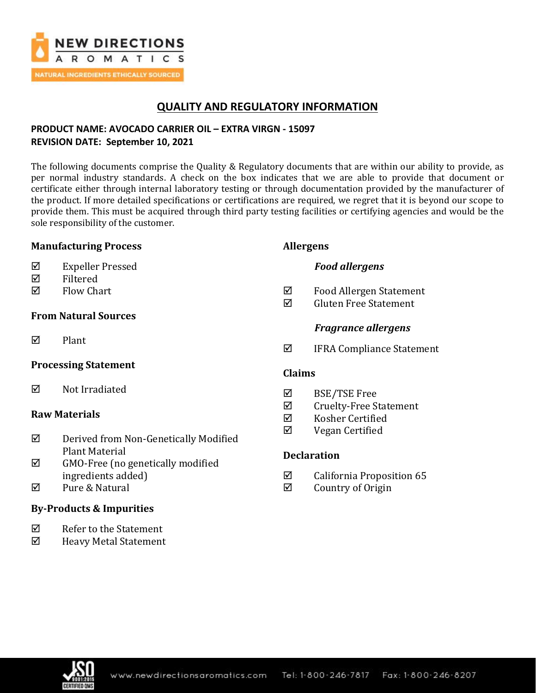

# **QUALITY AND REGULATORY INFORMATION**

## **PRODUCT NAME: AVOCADO CARRIER OIL – EXTRA VIRGN - 15097 REVISION DATE: September 10, 2021**

The following documents comprise the Quality & Regulatory documents that are within our ability to provide, as per normal industry standards. A check on the box indicates that we are able to provide that document or certificate either through internal laboratory testing or through documentation provided by the manufacturer of the product. If more detailed specifications or certifications are required, we regret that it is beyond our scope to provide them. This must be acquired through third party testing facilities or certifying agencies and would be the sole responsibility of the customer.

### **Manufacturing Process**

- Expeller Pressed
- $\nabla$  Filtered
- $\nabla$  Flow Chart

## **From Natural Sources**

 $\nabla$  Plant

## **Processing Statement**

 $\boxtimes$  Not Irradiated

## **Raw Materials**

- Derived from Non-Genetically Modified Plant Material
- $\boxtimes$  GMO-Free (no genetically modified ingredients added)
- **Ø** Pure & Natural

## **By-Products & Impurities**

- $\boxtimes$  Refer to the Statement
- Heavy Metal Statement

### **Allergens**

### *Food allergens*

- $\boxtimes$  Food Allergen Statement
- $\boxtimes$  Gluten Free Statement

### *Fragrance allergens*

 $\boxtimes$  IFRA Compliance Statement

### **Claims**

- BSE/TSE Free
- $\boxtimes$  Cruelty-Free Statement
- $\boxtimes$  Kosher Certified
- $\boxtimes$  Vegan Certified

## **Declaration**

- $\boxtimes$  California Proposition 65
- $\boxtimes$  Country of Origin

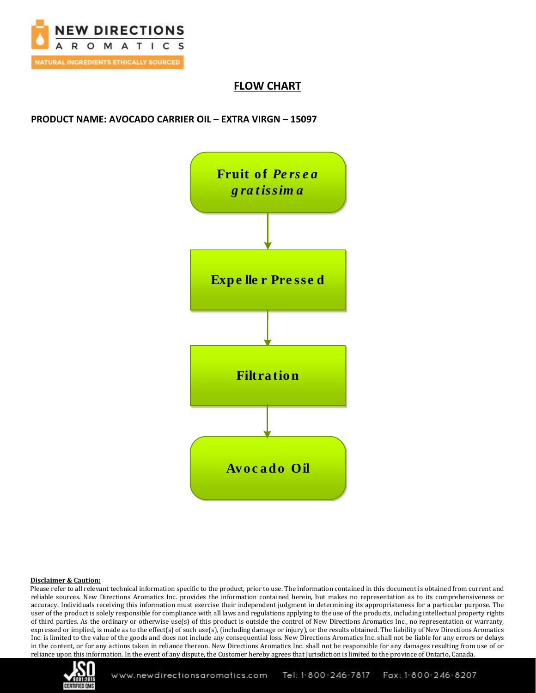

## **FLOW CHART**

### **PRODUCT NAME: AVOCADO CARRIER OIL – EXTRA VIRGN – 15097**



#### **Disclaimer & Caution:**

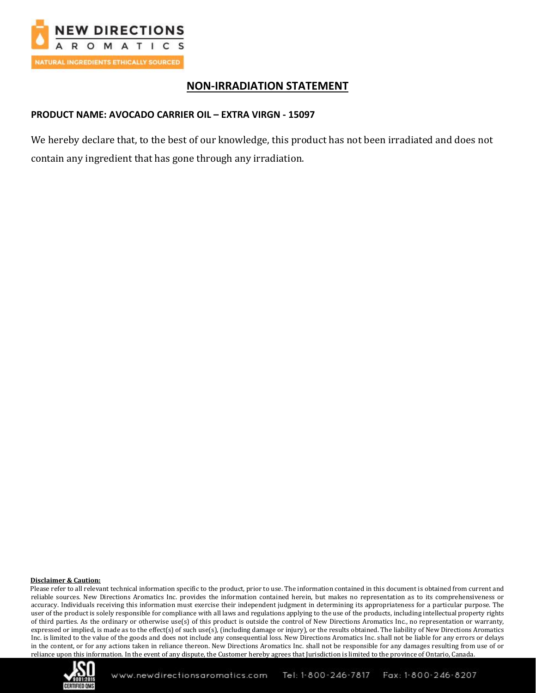

## **NON-IRRADIATION STATEMENT**

### **PRODUCT NAME: AVOCADO CARRIER OIL – EXTRA VIRGN - 15097**

We hereby declare that, to the best of our knowledge, this product has not been irradiated and does not contain any ingredient that has gone through any irradiation.

#### **Disclaimer & Caution:**

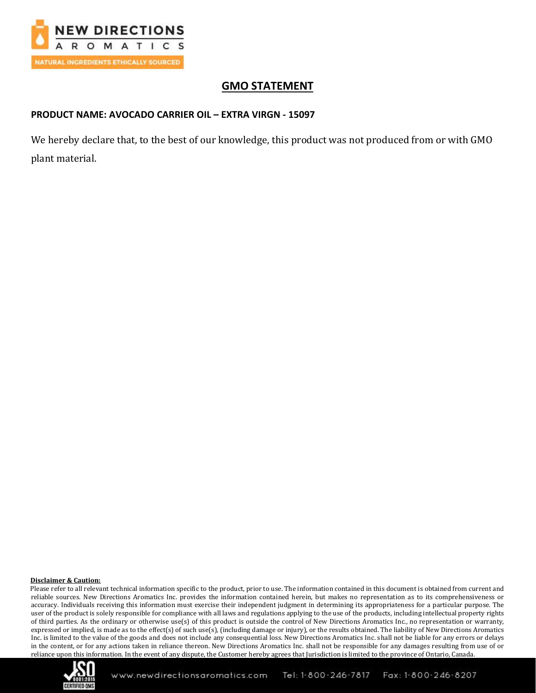

# **GMO STATEMENT**

### **PRODUCT NAME: AVOCADO CARRIER OIL – EXTRA VIRGN - 15097**

We hereby declare that, to the best of our knowledge, this product was not produced from or with GMO plant material.

#### **Disclaimer & Caution:**

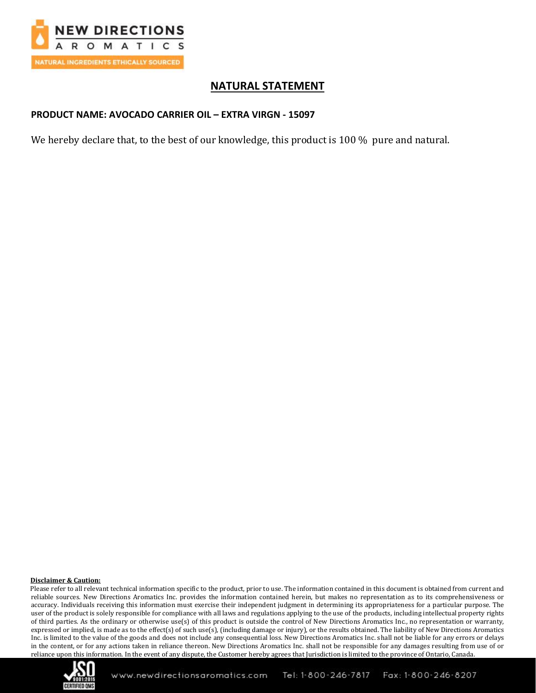

# **NATURAL STATEMENT**

### **PRODUCT NAME: AVOCADO CARRIER OIL – EXTRA VIRGN - 15097**

We hereby declare that, to the best of our knowledge, this product is 100 % pure and natural.

#### **Disclaimer & Caution:**

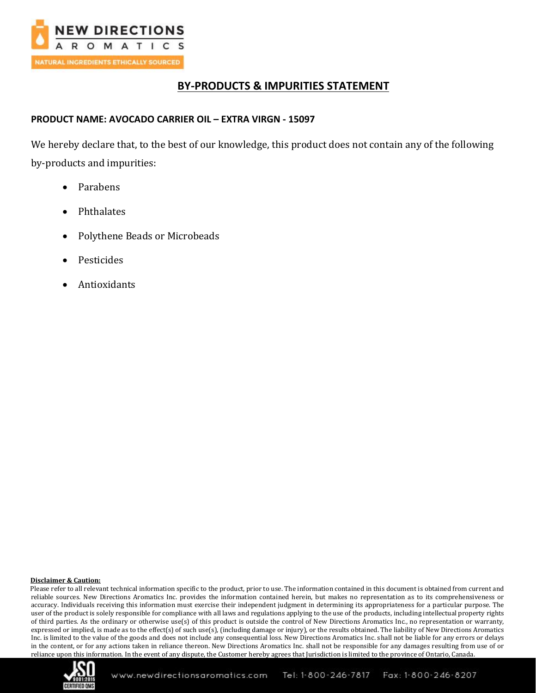

# **BY-PRODUCTS & IMPURITIES STATEMENT**

### **PRODUCT NAME: AVOCADO CARRIER OIL – EXTRA VIRGN - 15097**

We hereby declare that, to the best of our knowledge, this product does not contain any of the following by-products and impurities:

- Parabens
- Phthalates
- Polythene Beads or Microbeads
- **Pesticides**
- **Antioxidants**

#### **Disclaimer & Caution:**

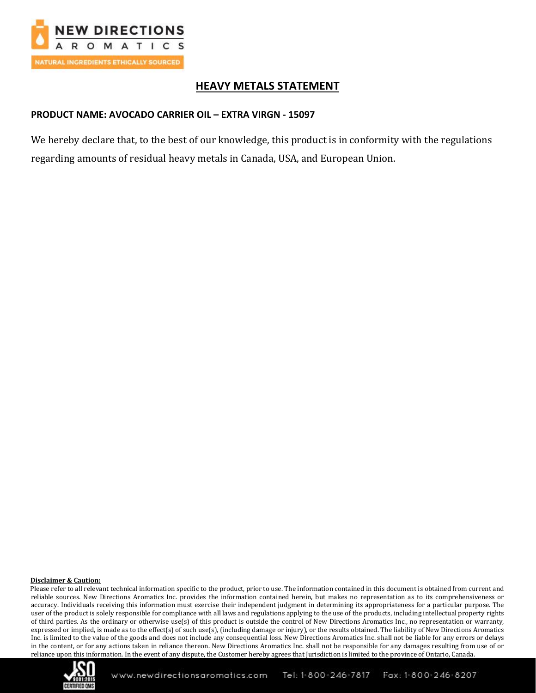

# **HEAVY METALS STATEMENT**

## **PRODUCT NAME: AVOCADO CARRIER OIL – EXTRA VIRGN - 15097**

We hereby declare that, to the best of our knowledge, this product is in conformity with the regulations regarding amounts of residual heavy metals in Canada, USA, and European Union.

#### **Disclaimer & Caution:**

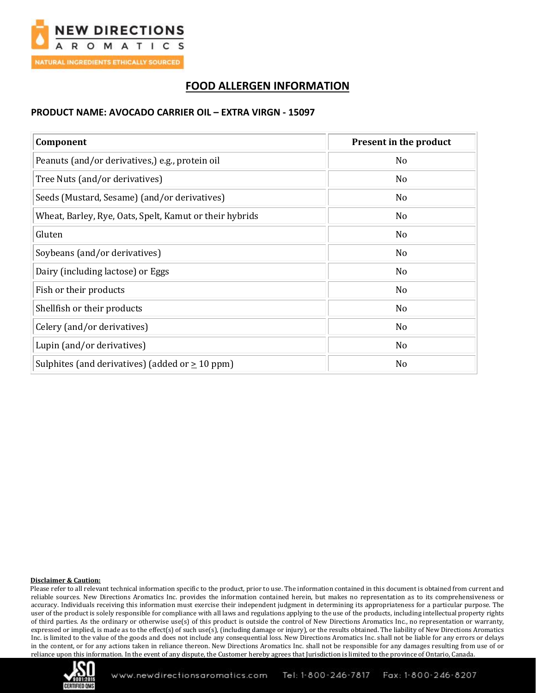

# **FOOD ALLERGEN INFORMATION**

#### **PRODUCT NAME: AVOCADO CARRIER OIL – EXTRA VIRGN - 15097**

| Component                                               | <b>Present in the product</b> |
|---------------------------------------------------------|-------------------------------|
| Peanuts (and/or derivatives,) e.g., protein oil         | N <sub>o</sub>                |
| Tree Nuts (and/or derivatives)                          | N <sub>0</sub>                |
| Seeds (Mustard, Sesame) (and/or derivatives)            | N <sub>0</sub>                |
| Wheat, Barley, Rye, Oats, Spelt, Kamut or their hybrids | N <sub>o</sub>                |
| Gluten                                                  | N <sub>0</sub>                |
| Soybeans (and/or derivatives)                           | No                            |
| Dairy (including lactose) or Eggs                       | No                            |
| Fish or their products                                  | No                            |
| Shellfish or their products                             | No                            |
| Celery (and/or derivatives)                             | No                            |
| Lupin (and/or derivatives)                              | No                            |
| Sulphites (and derivatives) (added or $\geq 10$ ppm)    | No                            |

#### **Disclaimer & Caution:**

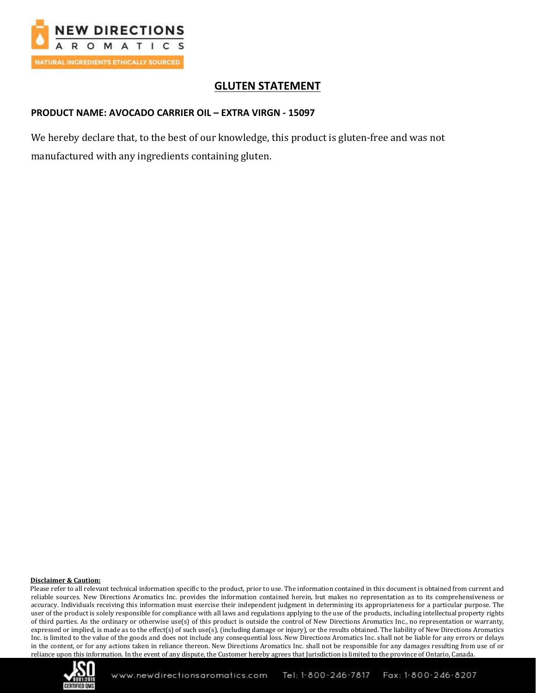

# **GLUTEN STATEMENT**

#### **PRODUCT NAME: AVOCADO CARRIER OIL – EXTRA VIRGN - 15097**

We hereby declare that, to the best of our knowledge, this product is gluten-free and was not manufactured with any ingredients containing gluten.

#### **Disclaimer & Caution:**

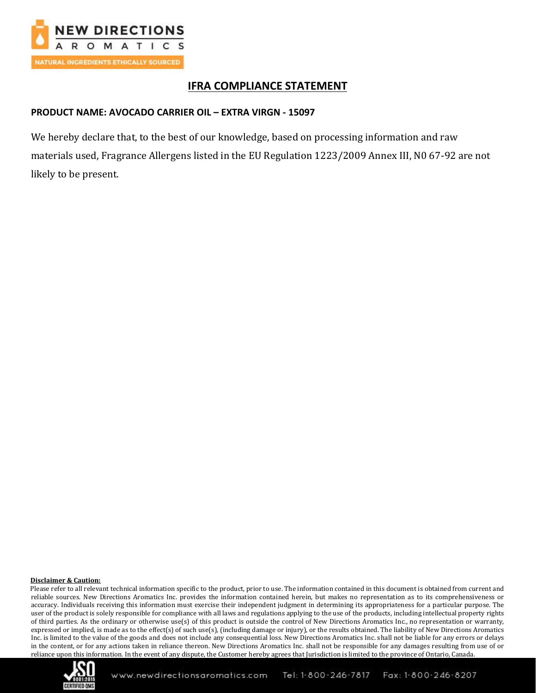

# **IFRA COMPLIANCE STATEMENT**

### **PRODUCT NAME: AVOCADO CARRIER OIL – EXTRA VIRGN - 15097**

We hereby declare that, to the best of our knowledge, based on processing information and raw materials used, Fragrance Allergens listed in the EU Regulation 1223/2009 Annex III, N0 67-92 are not likely to be present.

#### **Disclaimer & Caution:**

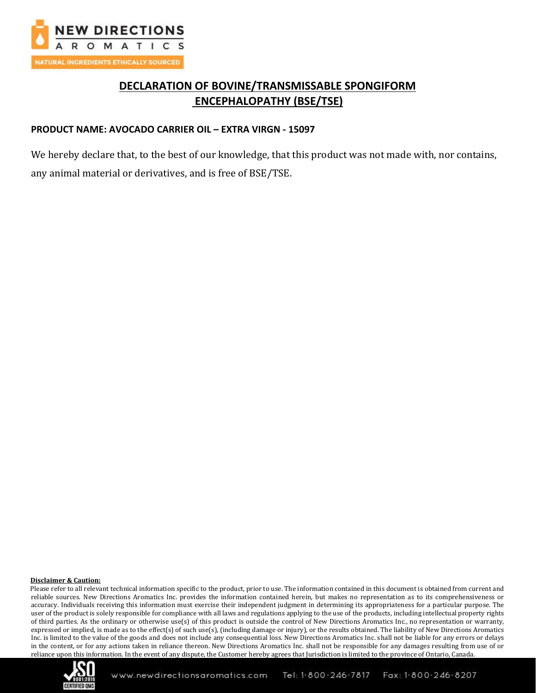

# **DECLARATION OF BOVINE/TRANSMISSABLE SPONGIFORM ENCEPHALOPATHY (BSE/TSE)**

### **PRODUCT NAME: AVOCADO CARRIER OIL – EXTRA VIRGN - 15097**

We hereby declare that, to the best of our knowledge, that this product was not made with, nor contains, any animal material or derivatives, and is free of BSE/TSE.

#### **Disclaimer & Caution:**

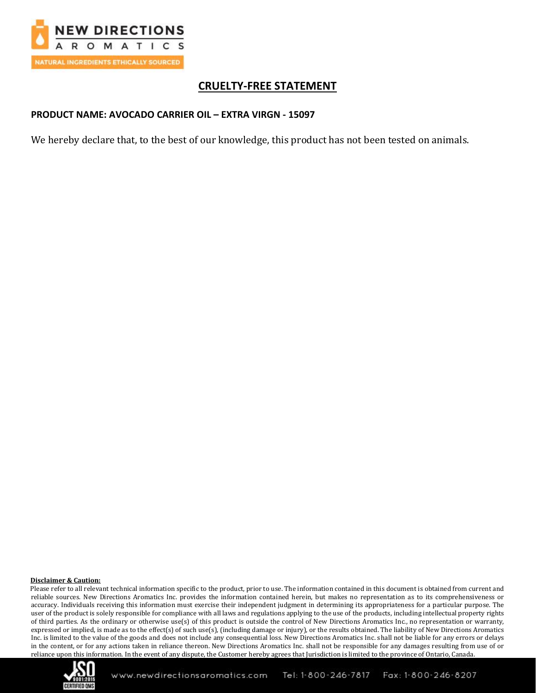

# **CRUELTY-FREE STATEMENT**

### **PRODUCT NAME: AVOCADO CARRIER OIL – EXTRA VIRGN - 15097**

We hereby declare that, to the best of our knowledge, this product has not been tested on animals.

#### **Disclaimer & Caution:**

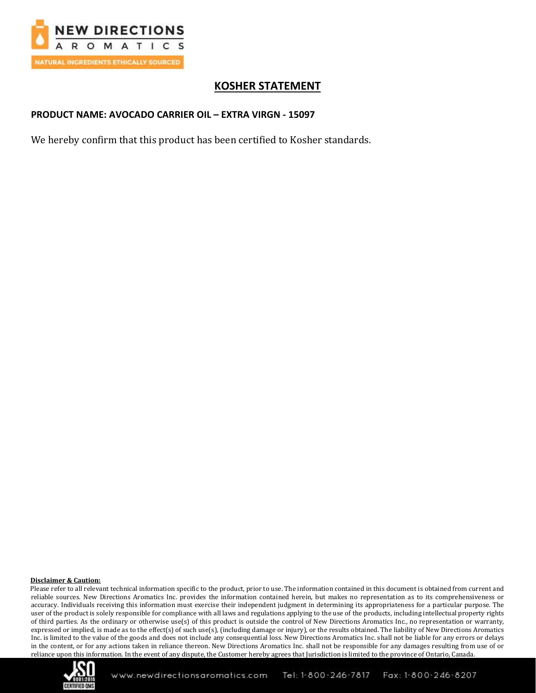

# **KOSHER STATEMENT**

### **PRODUCT NAME: AVOCADO CARRIER OIL – EXTRA VIRGN - 15097**

We hereby confirm that this product has been certified to Kosher standards.

#### **Disclaimer & Caution:**

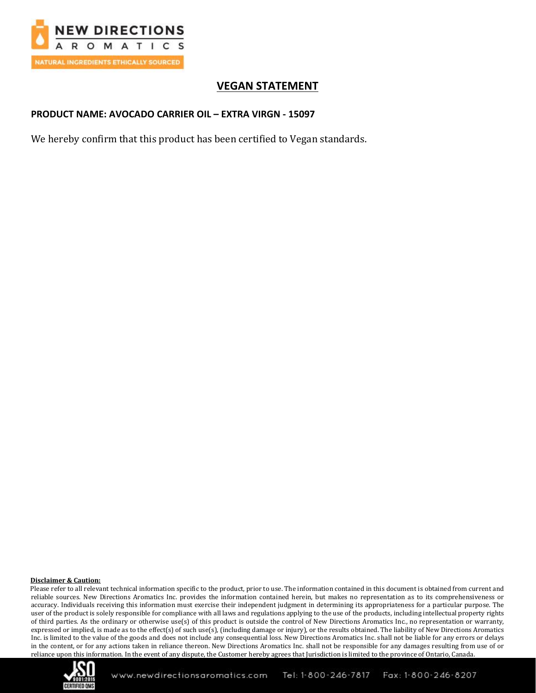

# **VEGAN STATEMENT**

### **PRODUCT NAME: AVOCADO CARRIER OIL – EXTRA VIRGN - 15097**

We hereby confirm that this product has been certified to Vegan standards.

#### **Disclaimer & Caution:**

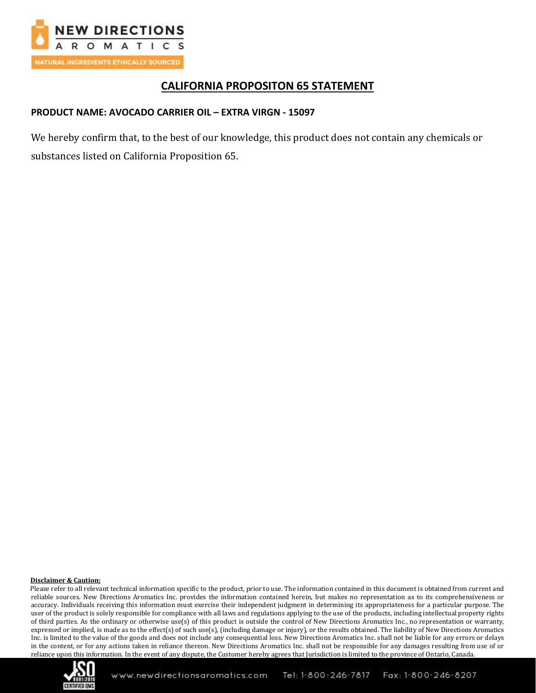

## **CALIFORNIA PROPOSITON 65 STATEMENT**

#### **PRODUCT NAME: AVOCADO CARRIER OIL – EXTRA VIRGN - 15097**

We hereby confirm that, to the best of our knowledge, this product does not contain any chemicals or substances listed on California Proposition 65.

#### **Disclaimer & Caution:**